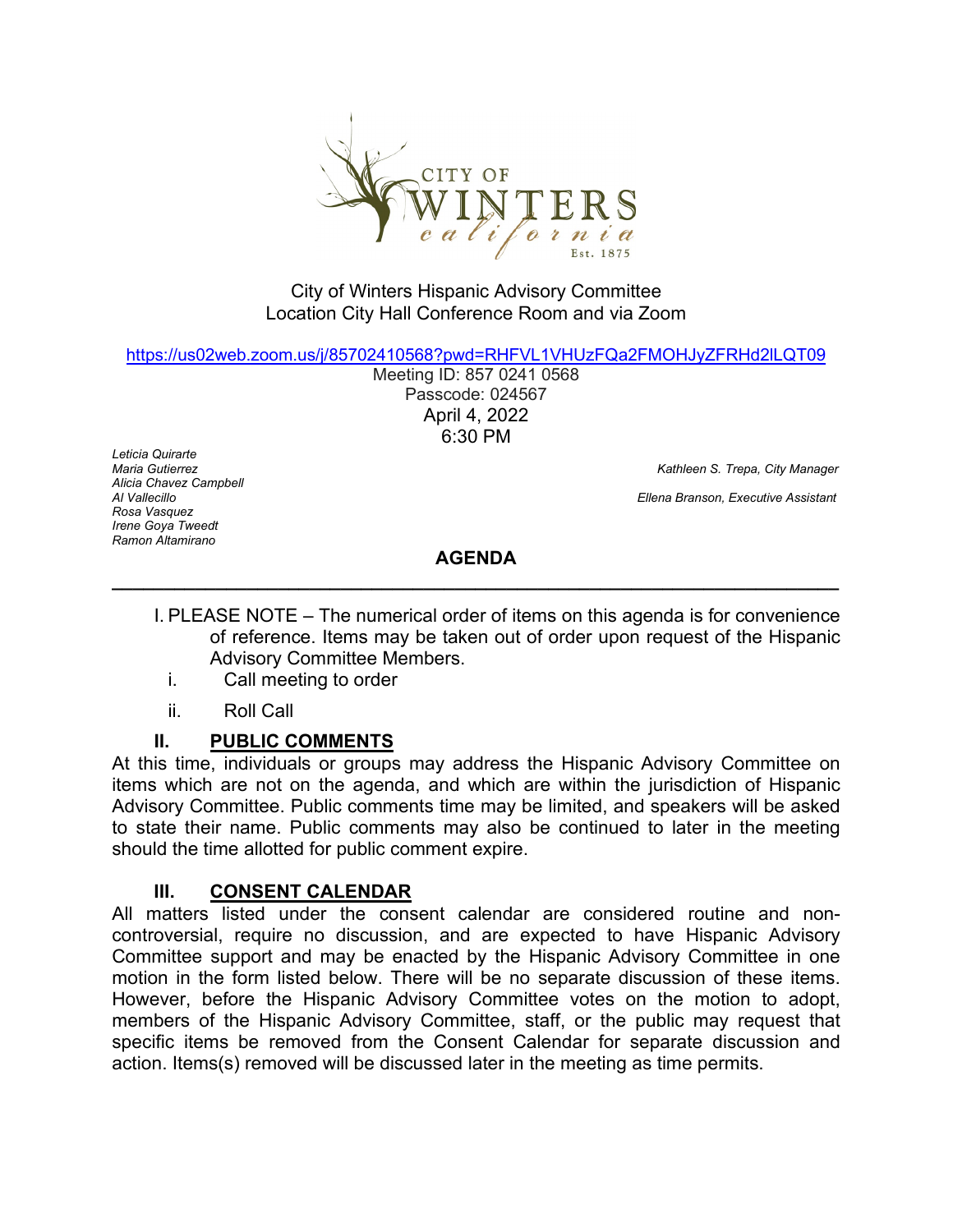

#### City of Winters Hispanic Advisory Committee Location City Hall Conference Room and via Zoom

[https://us02web.zoom.us/j/85702410568?pwd=RHFVL1VHUzFQa2FMOHJyZFRHd2lLQT09](https://www.google.com/url?q=https%3A%2F%2Fus02web.zoom.us%2Fj%2F85702410568%3Fpwd%3DRHFVL1VHUzFQa2FMOHJyZFRHd2lLQT09&sa=D&source=calendar&usd=2&usg=AOvVaw1Z4nbPmCO234X_uTL6taYB)

Meeting ID: 857 0241 0568 Passcode: 024567 April 4, 2022 6:30 PM

*Leticia Quirarte Alicia Chavez Campbell Rosa Vasquez Irene Goya Tweedt Ramon Altamirano*

*Maria Gutierrez Kathleen S. Trepa, City Manager Ellena Branson, Executive Assistant* 

## **AGENDA \_\_\_\_\_\_\_\_\_\_\_\_\_\_\_\_\_\_\_\_\_\_\_\_\_\_\_\_\_\_\_\_\_\_\_\_\_\_\_\_\_\_\_\_\_\_\_\_\_\_\_\_\_\_\_\_\_\_\_\_\_\_\_\_\_\_\_\_\_\_**

- I. PLEASE NOTE The numerical order of items on this agenda is for convenience of reference. Items may be taken out of order upon request of the Hispanic Advisory Committee Members.
	- i. Call meeting to order
	- ii. Roll Call

## **II. PUBLIC COMMENTS**

At this time, individuals or groups may address the Hispanic Advisory Committee on items which are not on the agenda, and which are within the jurisdiction of Hispanic Advisory Committee. Public comments time may be limited, and speakers will be asked to state their name. Public comments may also be continued to later in the meeting should the time allotted for public comment expire.

## **III. CONSENT CALENDAR**

All matters listed under the consent calendar are considered routine and noncontroversial, require no discussion, and are expected to have Hispanic Advisory Committee support and may be enacted by the Hispanic Advisory Committee in one motion in the form listed below. There will be no separate discussion of these items. However, before the Hispanic Advisory Committee votes on the motion to adopt, members of the Hispanic Advisory Committee, staff, or the public may request that specific items be removed from the Consent Calendar for separate discussion and action. Items(s) removed will be discussed later in the meeting as time permits.